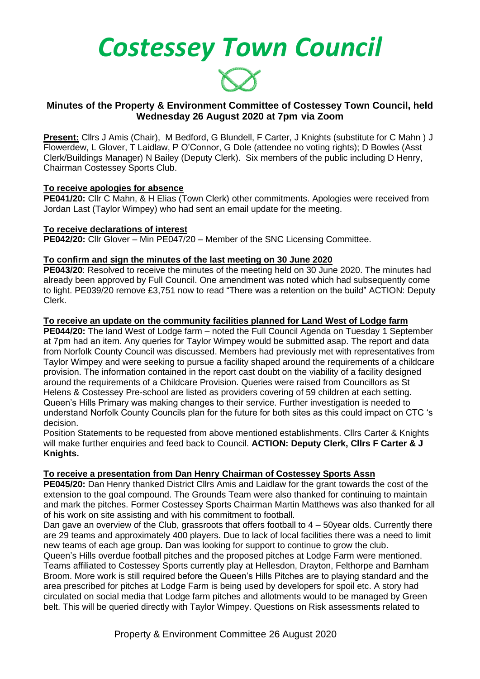*Costessey Town Council*



# **Minutes of the Property & Environment Committee of Costessey Town Council, held Wednesday 26 August 2020 at 7pm via Zoom**

**Present:** Cllrs J Amis (Chair), M Bedford, G Blundell, F Carter, J Knights (substitute for C Mahn ) J Flowerdew, L Glover, T Laidlaw, P O'Connor, G Dole (attendee no voting rights); D Bowles (Asst Clerk/Buildings Manager) N Bailey (Deputy Clerk). Six members of the public including D Henry, Chairman Costessey Sports Club.

# **To receive apologies for absence**

**PE041/20:** Cllr C Mahn, & H Elias (Town Clerk) other commitments. Apologies were received from Jordan Last (Taylor Wimpey) who had sent an email update for the meeting.

# **To receive declarations of interest**

**PE042/20:** Cllr Glover – Min PE047/20 – Member of the SNC Licensing Committee.

# **To confirm and sign the minutes of the last meeting on 30 June 2020**

**PE043/20**: Resolved to receive the minutes of the meeting held on 30 June 2020. The minutes had already been approved by Full Council. One amendment was noted which had subsequently come to light. PE039/20 remove £3,751 now to read "There was a retention on the build" ACTION: Deputy Clerk.

# **To receive an update on the community facilities planned for Land West of Lodge farm**

**PE044/20:** The land West of Lodge farm – noted the Full Council Agenda on Tuesday 1 September at 7pm had an item. Any queries for Taylor Wimpey would be submitted asap. The report and data from Norfolk County Council was discussed. Members had previously met with representatives from Taylor Wimpey and were seeking to pursue a facility shaped around the requirements of a childcare provision. The information contained in the report cast doubt on the viability of a facility designed around the requirements of a Childcare Provision. Queries were raised from Councillors as St Helens & Costessey Pre-school are listed as providers covering of 59 children at each setting. Queen's Hills Primary was making changes to their service. Further investigation is needed to understand Norfolk County Councils plan for the future for both sites as this could impact on CTC 's decision.

Position Statements to be requested from above mentioned establishments. Cllrs Carter & Knights will make further enquiries and feed back to Council. **ACTION: Deputy Clerk, Cllrs F Carter & J Knights.** 

# **To receive a presentation from Dan Henry Chairman of Costessey Sports Assn**

**PE045/20:** Dan Henry thanked District Cllrs Amis and Laidlaw for the grant towards the cost of the extension to the goal compound. The Grounds Team were also thanked for continuing to maintain and mark the pitches. Former Costessey Sports Chairman Martin Matthews was also thanked for all of his work on site assisting and with his commitment to football.

Dan gave an overview of the Club, grassroots that offers football to 4 – 50year olds. Currently there are 29 teams and approximately 400 players. Due to lack of local facilities there was a need to limit new teams of each age group. Dan was looking for support to continue to grow the club.

Queen's Hills overdue football pitches and the proposed pitches at Lodge Farm were mentioned. Teams affiliated to Costessey Sports currently play at Hellesdon, Drayton, Felthorpe and Barnham Broom. More work is still required before the Queen's Hills Pitches are to playing standard and the area prescribed for pitches at Lodge Farm is being used by developers for spoil etc. A story had circulated on social media that Lodge farm pitches and allotments would to be managed by Green belt. This will be queried directly with Taylor Wimpey. Questions on Risk assessments related to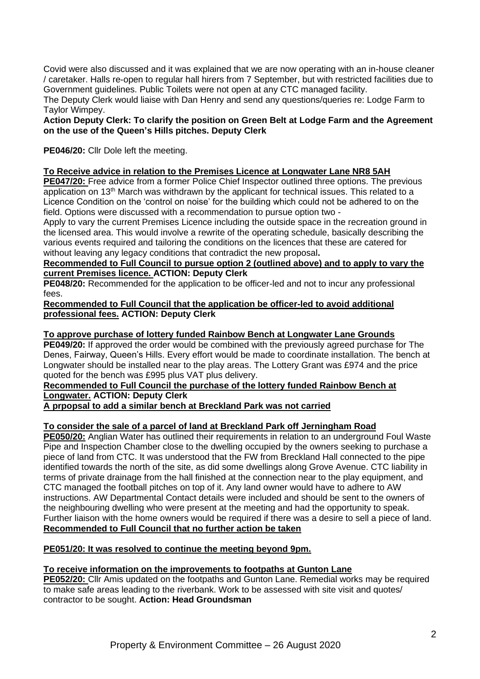Covid were also discussed and it was explained that we are now operating with an in-house cleaner / caretaker. Halls re-open to regular hall hirers from 7 September, but with restricted facilities due to Government guidelines. Public Toilets were not open at any CTC managed facility.

The Deputy Clerk would liaise with Dan Henry and send any questions/queries re: Lodge Farm to Taylor Wimpey.

**Action Deputy Clerk: To clarify the position on Green Belt at Lodge Farm and the Agreement on the use of the Queen's Hills pitches. Deputy Clerk** 

**PE046/20:** Cllr Dole left the meeting.

# **To Receive advice in relation to the Premises Licence at Longwater Lane NR8 5AH**

**PE047/20:** Free advice from a former Police Chief Inspector outlined three options. The previous application on 13<sup>th</sup> March was withdrawn by the applicant for technical issues. This related to a Licence Condition on the 'control on noise' for the building which could not be adhered to on the field. Options were discussed with a recommendation to pursue option two -

Apply to vary the current Premises Licence including the outside space in the recreation ground in the licensed area. This would involve a rewrite of the operating schedule, basically describing the various events required and tailoring the conditions on the licences that these are catered for without leaving any legacy conditions that contradict the new proposal**.** 

# **Recommended to Full Council to pursue option 2 (outlined above) and to apply to vary the current Premises licence. ACTION: Deputy Clerk**

**PE048/20:** Recommended for the application to be officer-led and not to incur any professional fees.

# **Recommended to Full Council that the application be officer-led to avoid additional professional fees. ACTION: Deputy Clerk**

# **To approve purchase of lottery funded Rainbow Bench at Longwater Lane Grounds**

**PE049/20:** If approved the order would be combined with the previously agreed purchase for The Denes, Fairway, Queen's Hills. Every effort would be made to coordinate installation. The bench at Longwater should be installed near to the play areas. The Lottery Grant was £974 and the price quoted for the bench was £995 plus VAT plus delivery.

# **Recommended to Full Council the purchase of the lottery funded Rainbow Bench at Longwater. ACTION: Deputy Clerk**

**A prpopsal to add a similar bench at Breckland Park was not carried**

# **To consider the sale of a parcel of land at Breckland Park off Jerningham Road**

**PE050/20:** Anglian Water has outlined their requirements in relation to an underground Foul Waste Pipe and Inspection Chamber close to the dwelling occupied by the owners seeking to purchase a piece of land from CTC. It was understood that the FW from Breckland Hall connected to the pipe identified towards the north of the site, as did some dwellings along Grove Avenue. CTC liability in terms of private drainage from the hall finished at the connection near to the play equipment, and CTC managed the football pitches on top of it. Any land owner would have to adhere to AW instructions. AW Departmental Contact details were included and should be sent to the owners of the neighbouring dwelling who were present at the meeting and had the opportunity to speak. Further liaison with the home owners would be required if there was a desire to sell a piece of land. **Recommended to Full Council that no further action be taken** 

# **PE051/20: It was resolved to continue the meeting beyond 9pm.**

# **To receive information on the improvements to footpaths at Gunton Lane**

**PE052/20:** Cllr Amis updated on the footpaths and Gunton Lane. Remedial works may be required to make safe areas leading to the riverbank. Work to be assessed with site visit and quotes/ contractor to be sought. **Action: Head Groundsman**